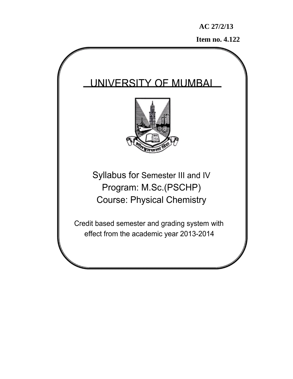**Item no. 4.122** 

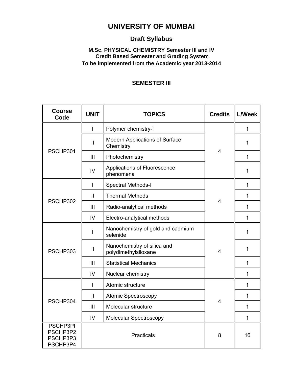# **UNIVERSITY OF MUMBAI**

# **Draft Syllabus**

## **M.Sc. PHYSICAL CHEMISTRY Semester III and IV Credit Based Semester and Grading System To be implemented from the Academic year 2013-2014**

# **SEMESTER III**

| <b>Course</b><br>Code                        | <b>UNIT</b>    | <b>TOPICS</b>                                       | <b>Credits</b> | <b>L/Week</b> |
|----------------------------------------------|----------------|-----------------------------------------------------|----------------|---------------|
|                                              | 1              | Polymer chemistry-I                                 | $\overline{4}$ | 1             |
|                                              | $\mathbf{I}$   | Modern Applications of Surface<br>Chemistry         |                | 1             |
| PSCHP301                                     | III            | Photochemistry                                      |                | 1             |
|                                              | IV             | Applications of Fluorescence<br>phenomena           |                | 1             |
|                                              | $\overline{1}$ | Spectral Methods-I                                  |                | 1             |
|                                              | $\mathbf{I}$   | <b>Thermal Methods</b>                              |                | 1             |
| PSCHP302                                     | III            | Radio-analytical methods                            | 4              | 1             |
|                                              | IV             | Electro-analytical methods                          |                | 1             |
|                                              |                | Nanochemistry of gold and cadmium<br>selenide       |                | 1             |
| PSCHP303                                     | $\mathbf{I}$   | Nanochemistry of silica and<br>polydimethylsiloxane | $\overline{4}$ | 1             |
|                                              | III            | <b>Statistical Mechanics</b>                        |                | 1             |
|                                              | IV             | Nuclear chemistry                                   |                | 1             |
|                                              | $\mathbf{I}$   | Atomic structure                                    | 4              | 1             |
| PSCHP304                                     | $\mathbf{I}$   | Atomic Spectroscopy                                 |                | 1             |
|                                              | III            | Molecular structure                                 |                | 1             |
|                                              | IV             | Molecular Spectroscopy                              |                | 1             |
| PSCHP3PI<br>PSCHP3P2<br>PSCHP3P3<br>PSCHP3P4 |                | Practicals                                          | 8              | 16            |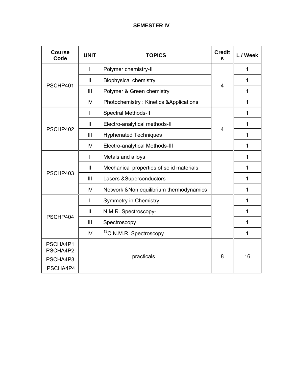# **SEMESTER IV**

| <b>Course</b><br>Code | <b>UNIT</b>    | <b>TOPICS</b>                            | <b>Credit</b><br>s | L / Week     |
|-----------------------|----------------|------------------------------------------|--------------------|--------------|
|                       |                | Polymer chemistry-II                     | $\overline{4}$     | $\mathbf{1}$ |
|                       | $\mathbf{II}$  | <b>Biophysical chemistry</b>             |                    | 1            |
| PSCHP401              | III            | Polymer & Green chemistry                |                    | 1            |
|                       | IV             | Photochemistry: Kinetics & Applications  |                    | 1            |
|                       | I.             | Spectral Methods-II                      |                    | $\mathbf 1$  |
|                       | $\mathbf{I}$   | Electro-analytical methods-II            |                    | $\mathbf{1}$ |
| PSCHP402              | Ш              | <b>Hyphenated Techniques</b>             | $\overline{4}$     | $\mathbf 1$  |
|                       | IV             | Electro-analytical Methods-III           |                    | 1            |
|                       | I.             | Metals and alloys                        |                    | 1            |
|                       | $\mathbf{I}$   | Mechanical properties of solid materials |                    | $\mathbf 1$  |
| PSCHP403              | III            | Lasers & Superconductors                 |                    | $\mathbf{1}$ |
|                       | IV             | Network & Non equilibrium thermodynamics |                    | $\mathbf 1$  |
|                       | T              | <b>Symmetry in Chemistry</b>             |                    | 1            |
| PSCHP404              | $\mathbf{II}$  | N.M.R. Spectroscopy-                     |                    | 1            |
|                       | $\mathbf{III}$ | Spectroscopy                             |                    | $\mathbf 1$  |
|                       | $\overline{V}$ | <sup>13</sup> C N.M.R. Spectroscopy      |                    | 1            |
| PSCHA4P1<br>PSCHA4P2  |                |                                          |                    |              |
| PSCHA4P3              |                | practicals<br>8                          |                    | 16           |
| PSCHA4P4              |                |                                          |                    |              |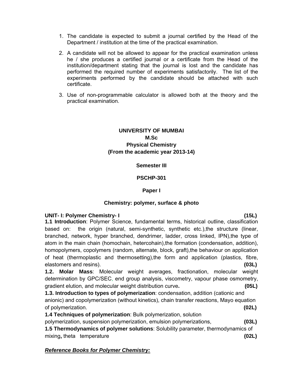- 1. The candidate is expected to submit a journal certified by the Head of the Department / institution at the time of the practical examination.
- 2. A candidate will not be allowed to appear for the practical examination unless he / she produces a certified journal or a certificate from the Head of the institution/department stating that the journal is lost and the candidate has performed the required number of experiments satisfactorily. The list of the experiments performed by the candidate should be attached with such certificate.
- 3. Use of non-programmable calculator is allowed both at the theory and the practical examination.

## **UNIVERSITY OF MUMBAI M.Sc Physical Chemistry (From the academic year 2013-14)**

#### **Semester III**

#### **PSCHP-301**

#### **Paper I**

#### **Chemistry: polymer, surface & photo**

#### **UNIT- I: Polymer Chemistry- I (15L)**

**1.1 Introduction**: Polymer Science, fundamental terms, historical outline, classification based on: the origin (natural, semi-synthetic, synthetic etc.),the structure (linear, branched, network, hyper branched, dendrimer, ladder, cross linked, IPN),the type of atom in the main chain (homochain, hetercohain), the formation (condensation, addition), homopolymers, copolymers (random, alternate, block, graft), the behaviour on application of heat (thermoplastic and thermosetting),the form and application (plastics, fibre, elastomers and resins). **(03L)** 

**1.2. Molar Mass**: Molecular weight averages, fractionation, molecular weight determination by GPC/SEC, end group analysis, viscometry, vapour phase osmometry, gradient elution, and molecular weight distribution curve**. (05L)** 

**1.3. Introduction to types of polymerization**: condensation, addition (cationic and anionic) and copolymerization (without kinetics), chain transfer reactions, Mayo equation of polymerization. **(02L)**

**1.4 Techniques of polymerization**: Bulk polymerization, solution polymerization, suspension polymerization, emulsion polymerizations, **(03L) 1.5 Thermodynamics of polymer solutions**: Solubility parameter, thermodynamics of

mixing**,** theta temperature **(02L)**

## *Reference Books for Polymer Chemistry:*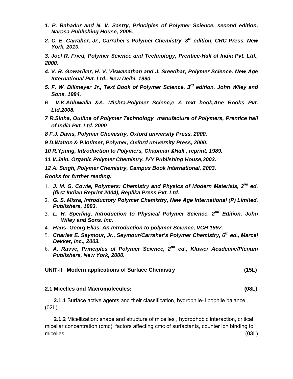- *1. P. Bahadur and N. V. Sastry, Principles of Polymer Science, second edition, Narosa Publishing House, 2005.*
- *2. C. E. Carraher, Jr., Carraher's Polymer Chemistry, 8th edition, CRC Press, New York, 2010.*

*3. Joel R. Fried, Polymer Science and Technology, Prentice-Hall of India Pvt. Ltd., 2000.* 

- *4. V. R. Gowarikar, H. V. Viswanathan and J. Sreedhar, Polymer Science. New Age International Pvt. Ltd., New Delhi, 1990.*
- *5. F. W. Billmeyer Jr., Text Book of Polymer Science, 3rd edition, John Wiley and Sons, 1984.*
- *6 V.K.Ahluwalia &A. Mishra.Polymer Scienc,e A text book,Ane Books Pvt. Ltd,2008.*
- *7 R.Sinha, Outline of Polymer Technology manufacture of Polymers, Prentice hall of India Pvt. Ltd. 2000*
- *8 F.J. Davis, Polymer Chemistry, Oxford university Press, 2000.*
- *9 D.Walton & P.lotimer, Polymer, Oxford university Press, 2000.*
- *10 R.Ypung, Introduction to Polymers, Chapman &Hall , reprint, 1989.*
- *11 V.Jain. Organic Polymer Chemistry, IVY Publishing House,2003.*

*12 A. Singh, Polymer Chemistry, Campus Book International, 2003.* 

#### *Books for further reading:*

- 1. *J. M. G. Cowie, Polymers: Chemistry and Physics of Modern Materials, 2nd ed. (first Indian Reprint 2004), Replika Press Pvt. Ltd.*
- 2. *G. S. Misra, Introductory Polymer Chemistry, New Age International (P) Limited, Publishers, 1993.*
- 3. *L. H. Sperling, Introduction to Physical Polymer Science. 2nd Edition, John Wiley and Sons. Inc.*
- 4. *Hans- Georg Elias, An Introduction to polymer Science, VCH 1997.*
- 5. *Charles E. Seymour, Jr., Seymour/Carraher's Polymer Chemistry, 6th ed., Marcel Dekker, Inc., 2003.*
- 6. *A. Ravve, Principles of Polymer Science, 2nd ed., Kluwer Academic/Plenum Publishers, New York, 2000.*

## **UNIT-II Modern applications of Surface Chemistry (15L)**

#### **2.1 Micelles and Macromolecules: (08L)**

 **2.1.1** Surface active agents and their classification, hydrophile- lipophile balance, (02L)

 **2.1.2** Micellization: shape and structure of micelles , hydrophobic interaction, critical micellar concentration (cmc), factors affecting cmc of surfactants, counter ion binding to micelles. (03L)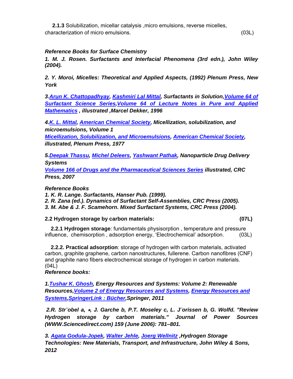**2.1.3** Solubilization, micellar catalysis ,micro emulsions, reverse micelles, characterization of micro emulsions. (03L)

## *Reference Books for Surface Chemistry*

*1. M. J. Rosen. Surfactants and Interfacial Phenomena (3rd edn.), John Wiley (2004).* 

*2. Y. Moroi, Micelles: Theoretical and Applied Aspects, (1992) Plenum Press, New York* 

*3.Arun K. Chattopadhyay, Kashmiri Lal Mittal, Surfactants in Solution,Volume 64 of Surfactant Science Series,Volume 64 of Lecture Notes in Pure and Applied Mathematics , illustrated ,Marcel Dekker, 1996* 

*4.K. L. Mittal, American Chemical Society, Micellization, solubilization, and microemulsions, Volume 1* 

*Micellization, Solubilization, and Microemulsions, American Chemical Society, illustrated, Plenum Press, 1977* 

*5.Deepak Thassu, Michel Deleers, Yashwant Pathak, Nanoparticle Drug Delivery Systems* 

*Volume 166 of Drugs and the Pharmaceutical Sciences Series illustrated, CRC Press, 2007* 

*Reference Books* 

*1. K. R. Lange. Surfactants, Hanser Pub. (1999).* 

*2. R. Zana (ed.). Dynamics of Surfactant Self-Assemblies, CRC Press (2005).* 

*3. M. Abe & J. F. Scamehorn. Mixed Surfactant Systems, CRC Press (2004).* 

## **2.2 Hydrogen storage by carbon materials: (07L)**

 **2.2.1 Hydrogen storage**: fundamentals physisorption , temperature and pressure influence, chemisorption , adsorption energy, 'Electrochemical' adsorption. (03L)

 **2.2.2. Practical adsorption**: storage of hydrogen with carbon materials, activated carbon, graphite graphene, carbon nanostructures, fullerene. Carbon nanofibres (CNF) and graphite nano fibers electrochemical storage of hydrogen in carbon materials. (04L)

## *Reference books:*

*1.Tushar K. Ghosh, Energy Resources and Systems: Volume 2: Renewable Resources,Volume 2 of Energy Resources and Systems, Energy Resources and Systems,SpringerLink : Bücher,Springer, 2011* 

 *2.R. Str¨obel a,* כ*, J. Garche b, P.T. Moseley c, L. J¨orissen b, G. Wolfd. "Review Hydrogen storage by carbon materials." Journal of Power Sources (WWW.Sciencedirect.com) 159 (June 2006): 781–801.* 

*3. Agata Godula-Jopek, Walter Jehle, Joerg Wellnitz ,Hydrogen Storage Technologies: New Materials, Transport, and Infrastructure, John Wiley & Sons, 2012*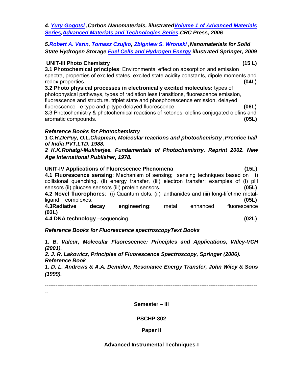*4. Yury Gogotsi ,Carbon Nanomaterials, illustratedVolume 1 of Advanced Materials Series,Advanced Materials and Technologies Series,CRC Press, 2006* 

## *5.Robert A. Varin, Tomasz Czujko, Zbigniew S. Wronski ,Nanomaterials for Solid State Hydrogen Storage Fuel Cells and Hydrogen Energy illustrated Springer, 2009*

#### **UNIT-III Photo Chemistry (15 L)**

**3.1 Photochemical principles**: Environmental effect on absorption and emission spectra, properties of excited states, excited state acidity constants, dipole moments and redox properties. **(04L)**

**3.2 Photo physical processes in electronically excited molecules:** types of photophysical pathways, types of radiation less transitions, fluorescence emission, fluorescence and structure. triplet state and phosphorescence emission, delayed fluorescence –e type and p-type delayed fluorescence. **(06L)** 

**3.**3 Photochemistry & photochemical reactions of ketones, olefins conjugated olefins and aromatic compounds. **(05L)** 

#### *Reference Books for Photochemistry*

*1 C.H.DePuy, O.L.Chapman, Molecular reactions and photochemistry ,Prentice hall of India PVT.LTD. 1988.* 

*2 K.K.Rohatgi-Mukherjee. Fundamentals of Photochemistry. Reprint 2002. New Age International Publisher, 1978.*

| <b>UNIT-IV Applications of Fluorescence Phenomena</b>                                     | (15L)        |
|-------------------------------------------------------------------------------------------|--------------|
| 4.1 Fluorescence sensing: Mechanism of sensing; sensing techniques based on i)            |              |
| collisional quenching, (ii) energy transfer, (iii) electron transfer; examples of (i) pH  |              |
| sensors (ii) glucose sensors (iii) protein sensors.                                       | (05L)        |
| 4.2 Novel fluorophores: (i) Quantum dots, (ii) lanthanides and (iii) long-lifetime metal- |              |
| ligand complexes.                                                                         | (05L)        |
| 4.3Radiative<br>engineering:<br>metal<br>enhanced<br>decay                                | fluorescence |
| (03L)                                                                                     |              |
| 4.4 DNA technology -sequencing.                                                           | (02L)        |
|                                                                                           |              |

*Reference Books for Fluorescence spectroscopyText Books* 

*1. B. Valeur, Molecular Fluorescence: Principles and Applications, Wiley-VCH (2001).* 

*2. J. R. Lakowicz, Principles of Fluorescence Spectroscopy, Springer (2006). Reference Book* 

*1. D. L. Andrews & A.A. Demidov, Resonance Energy Transfer, John Wiley & Sons (1999).* 

**----------------------------------------------------------------------------------------------------------------------**

**--** 

**Semester – III** 

## **PSCHP-302**

## **Paper II**

#### **Advanced Instrumental Techniques-I**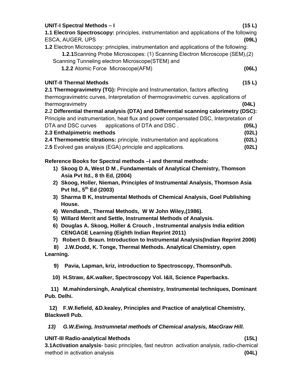| ESCA, AUGER, UPS                                                                               | (09L) |
|------------------------------------------------------------------------------------------------|-------|
| <b>1.2</b> Electron Microscopy: principles, instrumentation and applications of the following: |       |
| 1.2.1 Scanning Probe Microscopes: (1) Scanning Electron Microscope (SEM), (2)                  |       |
| Scanning Tunneling electron Microscope (STEM) and                                              |       |
| <b>1.2.2</b> Atomic Force Microscope (AFM)                                                     | (06L) |
| <b>UNIT-II Thermal Methods</b>                                                                 | (15L) |
| 2.1 Thermogravimetry (TG): Principle and Instrumentation, factors affecting                    |       |
| thermogravimetric curves, Interpretation of thermogravimetric curves. applications of          |       |
| thermogravimetry                                                                               | (04L) |
| 2.2 Differential thermal analysis (DTA) and Differential scanning calorimetry (DSC):           |       |
| Principle and instrumentation, heat flux and power compensated DSC, Interpretation of          |       |
| DTA and DSC curves applications of DTA and DSC.                                                | (05L) |
| 2.3 Enthalpimetric methods                                                                     | (02L) |
| <b>2.4 Thermometric titrations:</b> principle, instrumentation and applications                | (02L) |
| 2.5 Evolved gas analysis (EGA) principle and applications.                                     | (02L) |

**UNIT-I Spectral Methods – I (15 L) 1.1 Electron Spectroscopy:** principles, instrumentation and applications of the following

#### **Reference Books for Spectral methods –I and thermal methods:**

- **1) Skoog D A, West D M , Fundamentals of Analytical Chemistry, Thomson Asia Pvt ltd., 8 th Ed, (2004)**
- **2) Skoog, Holler, Nieman, Principles of Instrumental Analysis, Thomson Asia Pvt ltd., 5th Ed (2003)**
- **3) Sharma B K, Instrumental Methods of Chemical Analysis, Goel Publishing House.**
- **4) Wendlandt., Thermal Methods, W W John Wiley,(1986).**
- **5) Willard Merrit and Settle, Instrumental Methods of Analysis.**
- **6) Douglas A. Skoog, Holler & Crouch , Instrumental analysis India edition CENGAGE Learning (Eighth Indian Reprint 2011)**
- **7) Robert D. Braun. Introduction to Instrumental Analysis(Indian Reprint 2006)**

 **8) J.W.Dodd, K. Tonge, Thermal Methods. Analytical Chemistry, open Learning.** 

 **9) Pavia, Lapman, kriz, introduction to Spectroscopy, ThomsonPub.** 

 **10) H.Straw, &K.walker, Spectroscopy Vol. I&II, Science Paperbacks.** 

 **11) M.mahindersingh, Analytical chemistry, Instrumental techniques, Dominant Pub. Delhi.** 

 **12) F.W.fiefield, &D.kealey, Principles and Practice of analytical Chemistry, Blackwell Pub.** 

*13) G.W.Ewing, Instrumnetal methods of Chemical analysis, MacGraw Hill.* 

#### **UNIT-III Radio-analytical Methods (15L)**

**3.1Activation analysis**- basic principles, fast neutron activation analysis, radio-chemical method in activation analysis **(04L)**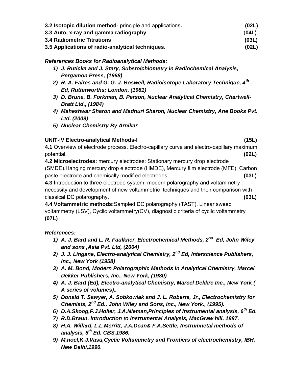| 3.2 <b>Isotopic dilution method</b> - principle and applications. | (02L) |
|-------------------------------------------------------------------|-------|
| 3.3 Auto, x-ray and gamma radiography                             | (04L) |
| <b>3.4 Radiometric Titrations</b>                                 | (03L) |
| 3.5 Applications of radio-analytical techniques.                  | (02L) |

## *References Books for Radioanalytical Methods:*

- *1) J. Ruticka and J. Stary, Substoichiometry in Radiochemical Analysis, Pergamon Press, (1968)*
- *2) R. A. Faires and G. G. J. Boswell, Radioisotope Laboratory Technique, 4th , Ed, Rutterworths; London, (1981)*
- *3) D. Brune, B. Forkman, B. Person, Nuclear Analytical Chemistry, Chartwell-Bratt Ltd., (1984)*
- *4) Maheshwar Sharon and Madhuri Sharon, Nuclear Chemistry, Ane Books Pvt. Ltd. (2009)*
- *5) Nuclear Chemistry By Arnikar*

# **UNIT-IV Electro-analytical Methods-I (15L)**

**4.1** Overview of electrode process, Electro-capillary curve and electro-capillary maximum potential. **(02L)**

**4.2 Microelectrodes:** mercury electrodes: Stationary mercury drop electrode (SMDE).Hanging mercury drop electrode (HMDE), Mercury film electrode (MFE), Carbon paste electrode and chemically modified electrodes. **(03L)**

**4.3** Introduction to three electrode system, modern polarography and voltammetry : necessity and development of new voltammetric techniques and their comparison with classical DC polarography, **(03L)** 

**4.4 Voltammetric methods:**Sampled DC polarography (TAST), Linear sweep voltammetry (LSV), Cyclic voltammetry(CV), diagnostic criteria of cyclic voltammetry **(07L)**

# *References:*

- *1) A. J. Bard and L. R. Faulkner, Electrochemical Methods, 2nd Ed, John Wiley and sons ,Asia Pvt. Ltd, (2004)*
- *2) J. J. Lingane, Electro-analytical Chemistry, 2nd Ed, Interscience Publishers, Inc., New York (1958)*
- *3) A. M. Bond, Modern Polarographic Methods in Analytical Chemistry, Marcel Dekker Publishers, Inc., New York, (1980)*
- *4) A. J. Bard (Ed), Electro-analytical Chemistry, Marcel Dekkre Inc., New York ( A series of volumes)..*
- *5) Donald T. Sawyer, A. Sobkowiak and J. L. Roberts, Jr., Electrochemistry for Chemists, 2nd Ed., John Wiley and Sons, Inc., New York., (1995).*
- *6) D.A.Skoog,F.J.Holler, J.A.Nieman,Principles of Instrumental analysis, 6th Ed.*
- *7) R.D.Braun. introduction to Instrumental Analysis, MacGraw hill, 1987.*
- *8) H.A. Willard, L.L.Merritt, J.A.Dean& F.A.Settle, Instrumnetal methods of analysis, 5th Ed. CBS,1986.*
- *9) M.noel,K.J.Vasu,Cyclic Voltammetry and Frontiers of electrochemistry, IBH, New Delhi,1990.*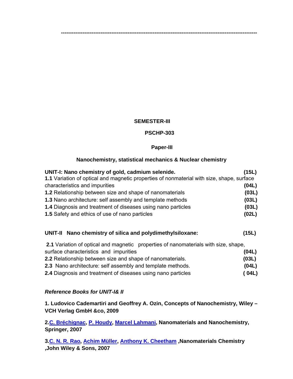#### **SEMESTER-III**

#### **PSCHP-303**

**-------------------------------------------------------------------------------------------------------------** 

#### **Paper-III**

#### **Nanochemistry, statistical mechanics & Nuclear chemistry**

| UNIT-I: Nano chemistry of gold, cadmium selenide.                                         | (15L) |
|-------------------------------------------------------------------------------------------|-------|
| 1.1 Variation of optical and magnetic properties of nonmaterial with size, shape, surface |       |
| characteristics and impurities                                                            | (04L) |
| 1.2 Relationship between size and shape of nanomaterials                                  | (03L) |
| 1.3 Nano architecture: self assembly and template methods                                 | (03L) |
| 1.4 Diagnosis and treatment of diseases using nano particles                              | (03L) |
| 1.5 Safety and ethics of use of nano particles                                            | (02L) |
| UNIT-II Nano chemistry of silica and polydimethylsiloxane:                                | (15L) |
| 2.1 Variation of optical and magnetic properties of nanomaterials with size, shape,       |       |
| surface characteristics and impurities                                                    | (04L) |
| 2.2 Relationship between size and shape of nanomaterials.                                 | (03L) |
| 2.3 Nano architecture: self assembly and template methods.                                | (04L) |
| 2.4 Diagnosis and treatment of diseases using nano particles                              | (04L) |

#### *Reference Books for UNIT-I& II*

**1. Ludovico Cademartiri and Geoffrey A. Ozin, Concepts of Nanochemistry, Wiley – VCH Verlag GmbH &co, 2009** 

**2.C. Bréchignac, P. Houdy, Marcel Lahmani, Nanomaterials and Nanochemistry, Springer, 2007** 

**3.C. N. R. Rao, Achim Müller, Anthony K. Cheetham ,Nanomaterials Chemistry ,John Wiley & Sons, 2007**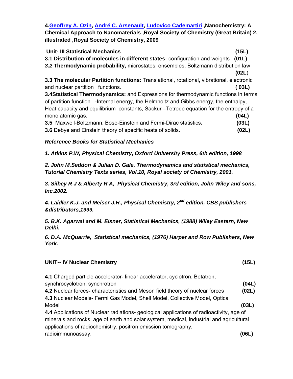**4.Geoffrey A. Ozin, André C. Arsenault, Ludovico Cademartiri ,Nanochemistry: A Chemical Approach to Nanomaterials ,Royal Society of Chemistry (Great Britain) 2, illustrated ,Royal Society of Chemistry, 2009** 

| <b>Unit- III Statistical Mechanics</b>                                                           | (15L)  |
|--------------------------------------------------------------------------------------------------|--------|
| 3.1 Distribution of molecules in different states-configuration and weights (01L)                |        |
| 3.2 Thermodynamic probability, microstates, ensembles, Boltzmann distribution law                |        |
|                                                                                                  | (02L)  |
| <b>3.3 The molecular Partition functions: Translational, rotational, vibrational, electronic</b> |        |
| and nuclear partition functions.                                                                 | ( 03L) |
| <b>3.4Statistical Thermodynamics:</b> and Expressions for thermodynamic functions in terms       |        |
| of partition function -Internal energy, the Helmholtz and Gibbs energy, the enthalpy,            |        |
| Heat capacity and equilibrium constants, Sackur – Tetrode equation for the entropy of a          |        |
| mono atomic gas.                                                                                 | (04L)  |
| 3.5 Maxwell-Boltzmann, Bose-Einstein and Fermi-Dirac statistics.                                 | (03L)  |
| <b>3.6</b> Debye and Einstein theory of specific heats of solids.                                | (02L)  |

## *Reference Books for Statistical Mechanics*

*1. Atkins P.W, Physical Chemistry, Oxford University Press, 6th edition, 1998* 

*2. John M.Seddon & Julian D. Gale, Thermodynamics and statistical mechanics, Tutorial Chemistry Texts series, Vol.10, Royal society of Chemistry, 2001.* 

*3. Silbey R J & Alberty R A, Physical Chemistry, 3rd edition, John Wiley and sons, Inc.2002.* 

*4. Laidler K.J. and Meiser J.H., Physical Chemistry, 2nd edition, CBS publishers &distributors,1999.* 

*5. B.K. Agarwal and M. Eisner, Statistical Mechanics, (1988) Wiley Eastern, New Delhi.* 

*6. D.A. McQuarrie, Statistical mechanics, (1976) Harper and Row Publishers, New York.* 

#### **UNIT-- IV Nuclear Chemistry (15L)**

| 4.1 Charged particle accelerator-linear accelerator, cyclotron, Betatron,                |       |
|------------------------------------------------------------------------------------------|-------|
| synchrocyclotron, synchrotron                                                            | (04L) |
| 4.2 Nuclear forces- characteristics and Meson field theory of nuclear forces             | (02L) |
| 4.3 Nuclear Models- Fermi Gas Model, Shell Model, Collective Model, Optical              |       |
| Model                                                                                    | (03L) |
| 4.4 Applications of Nuclear radiations- geological applications of radioactivity, age of |       |
| minerals and rocks, age of earth and solar system, medical, industrial and agricultural  |       |
| applications of radiochemistry, positron emission tomography,                            |       |
| radioimmunoassay.                                                                        | (06L) |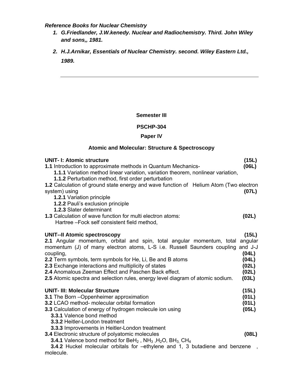*Reference Books for Nuclear Chemistry*

- *1. G.Friedlander, J.W.kenedy. Nuclear and Radiochemistry. Third. John Wiley and sons,, 1981.*
- *2. H.J.Arnikar, Essentials of Nuclear Chemistry. second. Wiley Eastern Ltd., 1989.*

#### **Semester III**

#### **PSCHP-304**

#### **Paper IV**

# **Atomic and Molecular: Structure & Spectroscopy**

| <b>UNIT-I: Atomic structure</b><br><b>1.1</b> Introduction to approximate methods in Quantum Mechanics-<br><b>1.1.1</b> Variation method linear variation, variation theorem, nonlinear variation,<br>1.1.2 Perturbation method, first order perturbation                                                                                                                                                                                                                           | (15L)<br>(06L)                                     |
|-------------------------------------------------------------------------------------------------------------------------------------------------------------------------------------------------------------------------------------------------------------------------------------------------------------------------------------------------------------------------------------------------------------------------------------------------------------------------------------|----------------------------------------------------|
| 1.2 Calculation of ground state energy and wave function of Helium Atom (Two electron<br>system) using<br>1.2.1 Variation principle<br><b>1.2.2 Pauli's exclusion principle</b><br>1.2.3 Slater determinant                                                                                                                                                                                                                                                                         | (07L)                                              |
| 1.3 Calculation of wave function for multi electron atoms:<br>Hartree-Fock self consistent field method,                                                                                                                                                                                                                                                                                                                                                                            | (02L)                                              |
| <b>UNIT--II Atomic spectroscopy</b><br>2.1 Angular momentum, orbital and spin, total angular momentum, total angular<br>momentum (J) of many electron atoms, L-S i.e. Russell Saunders coupling and J-J<br>coupling,<br>2.2 Term symbols, term symbols for He, Li, Be and B atoms<br>2.3 Exchange interactions and multiplicity of states<br>2.4 Anomalous Zeeman Effect and Paschen Back effect.<br>2.5 Atomic spectra and selection rules, energy level diagram of atomic sodium. | (15L)<br>(04L)<br>(04L)<br>(02L)<br>(02L)<br>(03L) |
| <b>UNIT- III: Molecular Structure</b><br>3.1 The Born - Oppenheimer approximation<br><b>3.2 LCAO method- molecular orbital formation</b><br>3.3 Calculation of energy of hydrogen molecule ion using<br>3.3.1 Valence bond method<br>3.3.2 Heitler-London treatment<br>3.3.3 Improvements in Heitler-London treatment<br>3.4 Electronic structure of polyatomic molecules                                                                                                           | (15L)<br>(01L)<br>(01L)<br>(05L)<br>(08L)          |
| <b>3.4.1</b> Valence bond method for $BeH_2$ , $NH_3$ , $H_2O$ , $BH_3$ , $CH_4$<br>3.4.2 Huckel molecular orbitals for -ethylene and 1, 3 butadiene and benzene                                                                                                                                                                                                                                                                                                                    |                                                    |

molecule.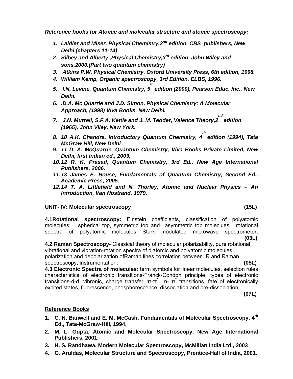*Reference books for Atomic and molecular structure and atomic spectroscopy:* 

- *1. Laidler and Miser, Physical Chemistry,2nd edition, CBS publishers, New Delhi.(chapters 11-14)*
- *2. Silbey and Alberty ,Physical Chemistry,3rd edition, John Wiley and sons,2000.(Part two quantum chemistry)*
- *3. Atkins P.W, Physical Chemistry, Oxford University Press, 6th edition, 1998.*
- *4. William Kemp, Organic spectroscopy, 3rd Edition, ELBS, 1996.*
- *5. I.N. Levine, Quantum Chemistry, 5 th edition (2000), Pearson Educ. Inc., New Delhi.*
- *6. .D.A. Mc Quarrie and J.D. Simon, Physical Chemistry: A Molecular Approach, (1998) Viva Books, New Delhi.*
- *7. J.N. Murrell, S.F.A. Kettle and J. M. Tedder, Valence Theory,2 nd edition (1965), John Viley, New York.*
- *8. 10 A.K. Chandra, Introductory Quantum Chemistry, 4 th edition (1994), Tata McGraw Hill, New Delhi*
- *9. 11 D. A. McQuarrie, Quantum Chemistry, Viva Books Private Limited, New Delhi, first Indian ed., 2003.*
- *10. 12 R. K. Prasad, Quantum Chemistry, 3rd Ed., New Age International Publishers, 2006.*
- *11. 13 James E. House, Fundamentals of Quantum Chemistry, Second Ed., Academic Press, 2005.*
- *12. 14 T. A. Littlefield and N. Thorley, Atomic and Nuclear Physics An Introduction, Van Nostrand, 1979.*

#### **UNIT- IV: Molecular spectroscopy (15L)**

**4.1Rotational spectroscopy:** Einstein coefficients, classification of polyatomic molecules: spherical top, symmetric top and asymmetric top molecules, rotational spectra of polyatomic molecules Stark modulated microwave spectrometer. **(03L)**

**4.2 Raman Spectroscopy-** Classical theory of molecular polarizability, pure rotational, vibrational and vibration-rotation spectra of diatomic and polyatomic molecules, polarization and depolarization ofRaman lines correlation between IR and Raman spectroscopy, instrumentation. **(05L)**

**4.3 Electronic Spectra of molecules:** term symbols for linear molecules, selection rules characteristics of electronic transitions-Franck-Condon principle, types of electronic transitions-d-d, vibronic, charge transfer, π-π<sup>\*</sup>, n- π<sup>\*</sup> transitions, fate of electronically excited states, fluorescence, phosphorescence, dissociation and pre-dissociation

**(07L)** 

#### **Reference Books**

- **1. C. N. Banwell and E. M. McCash, Fundamentals of Molecular Spectroscopy, 4th Ed., Tata-McGraw-Hill, 1994.**
- **2. M. L. Gupta, Atomic and Molecular Spectroscopy, New Age International Publishers, 2001.**
- **3. H. S. Randhawa, Modern Molecular Spectroscopy, McMillan India Ltd., 2003**
- **4. G. Aruldas, Molecular Structure and Spectroscopy, Prentice-Hall of India, 2001.**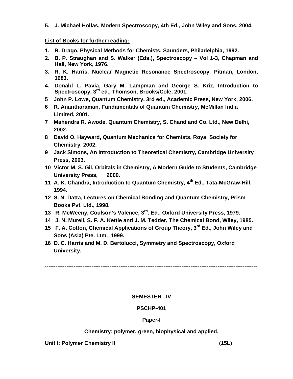**5. J. Michael Hollas, Modern Spectroscopy, 4th Ed., John Wiley and Sons, 2004.** 

#### **List of Books for further reading:**

- **1. R. Drago, Physical Methods for Chemists, Saunders, Philadelphia, 1992.**
- **2. B. P. Straughan and S. Walker (Eds.), Spectroscopy Vol 1-3, Chapman and Hall, New York, 1976.**
- **3. R. K. Harris, Nuclear Magnetic Resonance Spectroscopy, Pitman, London, 1983.**
- **4. Donald L. Pavia, Gary M. Lampman and George S. Kriz, Introduction to Spectroscopy, 3rd ed., Thomson, Brooks/Cole, 2001.**
- **5 John P. Lowe, Quantum Chemistry, 3rd ed., Academic Press, New York, 2006.**
- **6 R. Anantharaman, Fundamentals of Quantum Chemistry, McMillan India Limited, 2001.**
- **7 Mahendra R. Awode, Quantum Chemistry, S. Chand and Co. Ltd., New Delhi, 2002.**
- **8 David O. Hayward, Quantum Mechanics for Chemists, Royal Society for Chemistry, 2002.**
- **9 Jack Simons, An Introduction to Theoretical Chemistry, Cambridge University Press, 2003.**
- **10 Victor M. S. Gil, Orbitals in Chemistry, A Modern Guide to Students, Cambridge University Press, 2000.**
- **11 A. K. Chandra, Introduction to Quantum Chemistry, 4th Ed., Tata-McGraw-Hill, 1994.**
- **12 S. N. Datta, Lectures on Chemical Bonding and Quantum Chemistry, Prism Books Pvt. Ltd., 1998.**
- **13 R. McWeeny, Coulson's Valence, 3rd. Ed., Oxford University Press, 1979.**
- **14 J. N. Murell, S. F. A. Kettle and J. M. Tedder, The Chemical Bond, Wiley, 1985.**
- **15 F. A. Cotton, Chemical Applications of Group Theory, 3rd Ed., John Wiley and Sons (Asia) Pte. Ltm, 1999.**
- **16 D. C. Harris and M. D. Bertolucci, Symmetry and Spectroscopy, Oxford University.**

**----------------------------------------------------------------------------------------------------------------------** 

#### **SEMESTER –IV**

#### **PSCHP-401**

#### **Paper-I**

#### **Chemistry: polymer, green, biophysical and applied.**

**Unit I: Polymer Chemistry II (15L)**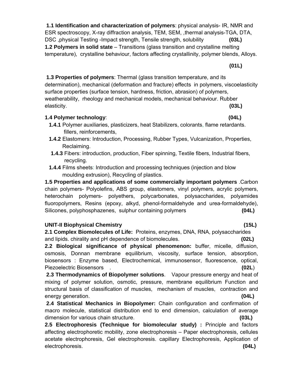**1.1 Identification and characterization of polymers**: physical analysis- IR, NMR and ESR spectroscopy, X-ray diffraction analysis, TEM, SEM, ,thermal analysis-TGA, DTA, DSC ,physical Testing -Impact strength, Tensile strength, solubility **(03L) 1.2 Polymers in solid state** – Transitions (glass transition and crystalline melting temperature), crystalline behaviour, factors affecting crystallinity, polymer blends, Alloys.

**(01L)** 

 **1.3 Properties of polymers**: Thermal (glass transition temperature, and its determination), mechanical (deformation and fracture) effects in polymers, viscoelasticity surface properties (surface tension, hardness, friction, abrasion) of polymers, weatherability, rheology and mechanical models, mechanical behaviour. Rubber elasticity. **(03L)** 

# **1.4 Polymer technology**: **(04L)**

- **1.4.1** Polymer auxiliaries, plasticizers, heat Stabilizers, colorants, flame retardants. fillers, reinforcements,
- **1.4.2** Elastomers: Introduction, Processing, Rubber Types, Vulcanization, Properties, Reclaiming.
- **1.4.3** Fibers: introduction, production, Fiber spinning, Textile fibers, Industrial fibers, recycling.
- **1.4.4** Films sheets: Introduction and processing techniques (injection and blow moulding extrusion), Recycling of plastics.

**1.5 Properties and applications of some commercially important polymers** .Carbon chain polymers- Polyolefins, ABS group, elastomers, vinyl polymers, acrylic polymers, heterochain polymers- polyethers, polycarbonates, polysaccharides, polyamides fluoropolymers, Resins (epoxy, alkyd, phenol-formaldehyde and urea-formaldehyde), Silicones, polyphosphazenes, sulphur containing polymers **(04L)** 

## **UNIT-II Biophysical Chemistry (15L)**

**2.1 Complex Biomolecules of Life:** Proteins, enzymes, DNA, RNA, polysaccharides and lipids. chirality and pH dependence of biomolecules. **(02L)**

**2.2 Biological significance of physical phenomenon:** buffer, micelle, diffusion, osmosis, Donnan membrane equilibrium, viscosity, surface tension, absorption, biosensors : Enzyme based, Electrochemical, immunosensor, fluorescence, optical, Piezoelectric Biosensors . **(02L**)

**2.3 Thermodynamics of Biopolymer solutions**. Vapour pressure energy and heat of mixing of polymer solution, osmotic, pressure, membrane equilibrium Function and structural basis of classification of muscles, mechanism of muscles, contraction and energy generation. **(04L)** 

 **2.4 Statistical Mechanics in Biopolymer:** Chain configuration and confirmation of macro molecule, statistical distribution end to end dimension, calculation of average dimension for various chain structure. **(03L)** 

**2.5 Electrophoresis (Technique for biomolecular study) :** Principle and factors affecting electrophoretic mobility, zone electrophoresis – Paper electrophoresis, cellules acetate electrophoresis, Gel electrophoresis. capillary Electrophoresis, Application of electrophoresis. **(04L)**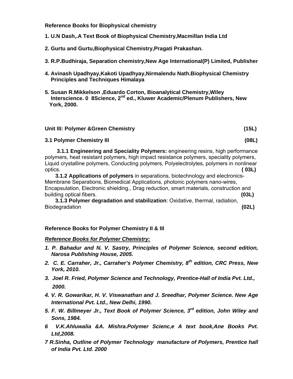**Reference Books for Biophysical chemistry** 

- **1. U.N Dash,.A Text Book of Biophysical Chemistry,Macmillan India Ltd**
- **2. Gurtu and Gurtu,Biophysical Chemistry,Pragati Prakashan.**
- **3. R.P.Budhiraja, Separation chemistry,New Age International(P) Limited, Publisher**
- **4. Avinash Upadhyay,Kakoti Upadhyay,Nirmalendu Nath.Biophysical Chemistry Principles and Techniques Himalaya**
- **5. Susan R.Mikkelson ,Eduardo Corton, Bioanalytical Chemistry,Wiley Interscience. 0 8Science, 2nd ed., Kluwer Academic/Plenum Publishers, New York, 2000.**

#### **Unit III: Polymer &Green Chemistry (15L)**

#### **3.1 Polymer Chemistry III (08L)**

 **3.1.1 Engineering and Speciality Polymers:** engineering resins, high performance polymers, heat resistant polymers, high impact resistance polymers, speciality polymers, Liquid crystalline polymers, Conducting polymers, Polyelectrolytes, polymers in nonlinear optics. **( 03L)** 

 **3.1.2 Applications of polymers** in separations, biotechnology and electronics-Membrane Separations, Biomedical Applications, photonic polymers nano-wires, Encapsulation, Electronic shielding., Drag reduction, smart materials, construction and building optical fibers. **(03L)** 

 **3.1.3 Polymer degradation and stabilization**: Oxidative, thermal, radiation, Biodegradation **(02L)** 

#### **Reference Books for Polymer Chemistry II & III**

#### *Reference Books for Polymer Chemistry:*

- *1. P. Bahadur and N. V. Sastry, Principles of Polymer Science, second edition, Narosa Publishing House, 2005.*
- *2. C. E. Carraher, Jr., Carraher's Polymer Chemistry, 8th edition, CRC Press, New York, 2010.*
- *3. Joel R. Fried, Polymer Science and Technology, Prentice-Hall of India Pvt. Ltd., 2000.*
- *4. V. R. Gowarikar, H. V. Viswanathan and J. Sreedhar, Polymer Science. New Age International Pvt. Ltd., New Delhi, 1990.*
- *5. F. W. Billmeyer Jr., Text Book of Polymer Science, 3rd edition, John Wiley and Sons, 1984.*
- *6 V.K.Ahluwalia &A. Mishra.Polymer Scienc,e A text book,Ane Books Pvt. Ltd,2008.*
- *7 R.Sinha, Outline of Polymer Technology manufacture of Polymers, Prentice hall of India Pvt. Ltd. 2000*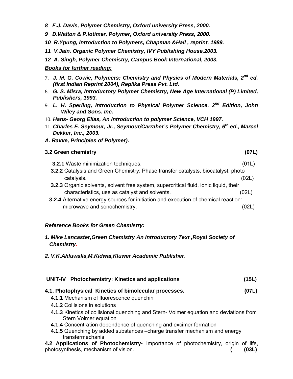- *8 F.J. Davis, Polymer Chemistry, Oxford university Press, 2000.*
- *9 D.Walton & P.lotimer, Polymer, Oxford university Press, 2000.*
- *10 R.Ypung, Introduction to Polymers, Chapman &Hall , reprint, 1989.*
- *11 V.Jain. Organic Polymer Chemistry, IVY Publishing House,2003.*
- *12 A. Singh, Polymer Chemistry, Campus Book International, 2003.*

#### *Books for further reading:*

- 7. *J. M. G. Cowie, Polymers: Chemistry and Physics of Modern Materials, 2nd ed. (first Indian Reprint 2004), Replika Press Pvt. Ltd.*
- 8. *G. S. Misra, Introductory Polymer Chemistry, New Age International (P) Limited, Publishers, 1993.*
- 9. *L. H. Sperling, Introduction to Physical Polymer Science. 2nd Edition, John Wiley and Sons. Inc.*
- 10. *Hans- Georg Elias, An Introduction to polymer Science, VCH 1997.*
- 11. *Charles E. Seymour, Jr., Seymour/Carraher's Polymer Chemistry, 6th ed., Marcel Dekker, Inc., 2003.*
- *A. Ravve, Principles of Polymer).*

#### **3.2 Green chemistry (07L)**

- **3.2.1** Waste minimization techniques. (01L)
- **3.2.2** Catalysis and Green Chemistry: Phase transfer catalysts, biocatalyst, photo catalysis. (02L)
	- **3.2.3** Organic solvents, solvent free system, supercritical fluid, ionic liquid, their characteristics, use as catalyst and solvents. (02L)
	- **3.2.4** Alternative energy sources for initiation and execution of chemical reaction: microwave and sonochemistry. (02L)

#### *Reference Books for Green Chemistry:*

- *1. Mike Lancaster,Green Chemistry An Introductory Text ,Royal Society of Chemistry.*
- *2. V.K.Ahluwalia,M.Kidwai,Kluwer Academic Publisher*.

| UNIT-IV Photochemistry: Kinetics and applications                                            | (15L) |
|----------------------------------------------------------------------------------------------|-------|
| 4.1. Photophysical Kinetics of bimolecular processes.                                        | (07L) |
| 4.1.1 Mechanism of fluorescence quenchin                                                     |       |
| 4.1.2 Collisions in solutions                                                                |       |
| A A 2 Kinetias of collisional quanoping and Ctorn <i>Molmor countion</i> and doviations from |       |

- **4.1.3** Kinetics of collisional quenching and Stern- Volmer equation and deviations from Stern Volmer equation
- **4.1.4** Concentration dependence of quenching and excimer formation
- **4.1.5** Quenching by added substances –charge transfer mechanism and energy transfermechanis

**4.2 Applications of Photochemistry***-* Importance of photochemistry, origin of life, photosynthesis, mechanism of vision. **( (03L)**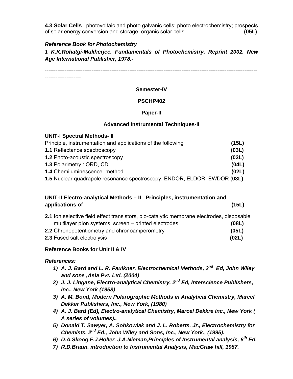**4.3 Solar Cells** photovoltaic and photo galvanic cells; photo electrochemistry; prospects of solar energy conversion and storage, organic solar cells **(05L)** 

#### *Reference Book for Photochemistry*

*1 K.K.Rohatgi-Mukherjee. Fundamentals of Photochemistry. Reprint 2002. New Age International Publisher, 1978.-* 

----------------------------------------------------------------------------------------------------------------------

--------------------

#### **Semester-IV**

#### **PSCHP402**

#### **Paper-II**

#### **Advanced Instrumental Techniques-II**

| <b>UNIT-I Spectral Methods- II</b>                                          |       |
|-----------------------------------------------------------------------------|-------|
| Principle, instrumentation and applications of the following                | (15L) |
| 1.1 Reflectance spectroscopy                                                | (03L) |
| 1.2 Photo-acoustic spectroscopy                                             | (03L) |
| 1.3 Polarimetry: ORD, CD                                                    | (04L) |
| 1.4 Chemiluminescence method                                                | (02L) |
| 4 E Nuelser eus droppels receptions encofrecedur. ENDOD, ELDOD, ENDOD (001) |       |

**1.5** Nuclear quadrapole resonance spectroscopy, ENDOR, ELDOR, EWDOR (**03L)** 

## **UNIT-II Electro-analytical Methods – II Principles, instrumentation and applications of (15L)**

| 2.1 Ion selective field effect transistors, bio-catalytic membrane electrodes, disposable |       |
|-------------------------------------------------------------------------------------------|-------|
| multilayer plon systems, screen – printed electrodes.                                     | (08L) |
| 2.2 Chronopotentiometry and chronoamperometry                                             | (05L) |
| 2.3 Fused salt electrolysis                                                               | (02L) |

## **Reference Books for Unit II & IV**

#### *References:*

- *1) A. J. Bard and L. R. Faulkner, Electrochemical Methods, 2nd Ed, John Wiley and sons ,Asia Pvt. Ltd, (2004)*
- *2) J. J. Lingane, Electro-analytical Chemistry, 2nd Ed, Interscience Publishers, Inc., New York (1958)*
- *3) A. M. Bond, Modern Polarographic Methods in Analytical Chemistry, Marcel Dekker Publishers, Inc., New York, (1980)*
- *4) A. J. Bard (Ed), Electro-analytical Chemistry, Marcel Dekkre Inc., New York ( A series of volumes)..*
- *5) Donald T. Sawyer, A. Sobkowiak and J. L. Roberts, Jr., Electrochemistry for Chemists, 2nd Ed., John Wiley and Sons, Inc., New York., (1995).*
- *6) D.A.Skoog,F.J.Holler, J.A.Nieman,Principles of Instrumental analysis, 6th Ed.*
- *7) R.D.Braun. introduction to Instrumental Analysis, MacGraw hill, 1987.*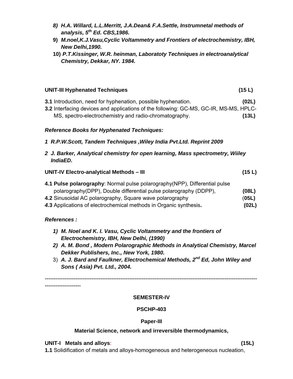- *8) H.A. Willard, L.L.Merritt, J.A.Dean& F.A.Settle, Instrumnetal methods of analysis, 5th Ed. CBS,1986.*
- **9)** *M.noel,K.J.Vasu,Cyclic Voltammetry and Frontiers of electrochemistry, IBH, New Delhi,1990.*
- **10)** *P.T.Kissinger, W.R. heinman, Laboratoty Techniques in electroanalytical Chemistry, Dekkar, NY. 1984.*

# **UNIT-III Hyphenated Techniques (15 L)**

- **3.1** Introduction, need for hyphenation, possible hyphenation. **(02L)**
- **3.2** Interfacing devices and applications of the following: GC-MS, GC-IR, MS-MS, HPLC- MS, spectro-electrochemistry and radio-chromatography. **(13L)**

## *Reference Books for Hyphenated Techniques:*

- *1 R.P.W.Scott, Tandem Techniques ,Wiley India Pvt.Ltd. Reprint 2009*
- *2 J. Barker, Analytical chemistry for open learning, Mass spectrometry, Wiiley IndiaED.*

| <b>UNIT-IV Electro-analytical Methods - III</b> | (15 L) |
|-------------------------------------------------|--------|
|-------------------------------------------------|--------|

- **4.1 Pulse polarography**: Normal pulse polarography(NPP), Differential pulse polarography(DPP), Double differential pulse polarography (DDPP), **(08L) 4.2** Sinusoidal AC polarography, Square wave polarography (**05L)**
- *4.***3** Applications of electrochemical methods in Organic synthesis**. (02L)**

## *References :*

- *1) M. Noel and K. I. Vasu, Cyclic Voltammetry and the frontiers of Electrochemistry, IBH, New Delhi, (1990)*
- *2) A. M. Bond , Modern Polarographic Methods in Analytical Chemistry, Marcel Dekker Publishers, Inc., New York, 1980.*
- 3) *A. J. Bard and Faulkner, Electrochemical Methods, 2nd Ed, John Wiley and Sons ( Asia) Pvt. Ltd., 2004.*

---------------------------------------------------------------------------------------------------------------------- --------------------

#### **SEMESTER-IV**

## **PSCHP-403**

## **Paper-III**

## **Material Science, network and irreversible thermodynamics,**

## **UNIT-I Metals and alloys**: **(15L)**

**1.1** Solidification of metals and alloys-homogeneous and heterogeneous nucleation,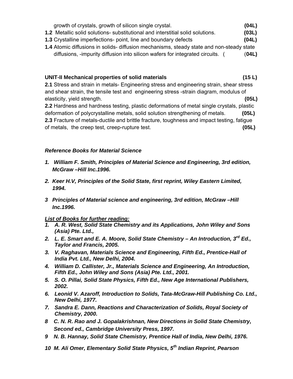| growth of crystals, growth of silicon single crystal.                                 | (04L) |
|---------------------------------------------------------------------------------------|-------|
| <b>1.2</b> Metallic solid solutions- substitutional and interstitial solid solutions. | (03L) |
| <b>1.3</b> Crystalline imperfections- point, line and boundary defects                | (04L) |

**1.4** Atomic diffusions in solids- diffusion mechanisms, steady state and non-steady state diffusions, -impurity diffusion into silicon wafers for integrated circuits. ( (**04L)**

#### **UNIT-II Mechanical properties of solid materials (15 L)**

**2.1** Stress and strain in metals- Engineering stress and engineering strain, shear stress and shear strain, the tensile test and engineering stress -strain diagram, modulus of elasticity, yield strength. **(05L)** 

**2.2** Hardness and hardness testing, plastic deformations of metal single crystals, plastic deformation of polycrystalline metals, solid solution strengthening of metals. **(05L) 2.3** Fracture of metals-ductile and brittle fracture, toughness and impact testing, fatigue of metals, the creep test, creep-rupture test. **(05L)**

## *Reference Books for Material Science*

- *1. William F. Smith, Principles of Material Science and Engineering, 3rd edition, McGraw –Hill Inc.1996.*
- *2. Keer H.V, Principles of the Solid State, first reprint, Wiley Eastern Limited, 1994.*
- *3 Principles of Material science and engineering, 3rd edition, McGraw –Hill Inc.1996.*

## *List of Books for further reading:*

- *1. A. R. West, Solid State Chemistry and its Applications, John Wiley and Sons (Asia) Pte. Ltd.,*
- *2. L. E. Smart and E. A. Moore, Solid State Chemistry An Introduction, 3rd Ed., Taylor and Francis, 2005.*
- *3. V. Raghavan, Materials Science and Engineering, Fifth Ed., Prentice-Hall of India Pvt. Ltd., New Delhi, 2004.*
- *4. William D. Callister, Jr., Materials Science and Engineering, An Introduction, Fifth Ed., John Wiley and Sons (Asia) Pte. Ltd., 2001.*
- *5. S. O. Pillai, Solid State Physics, Fifth Ed., New Age International Publishers, 2002.*
- *6. Leonid V. Azaroff, Introduction to Solids, Tata-McGraw-Hill Publishing Co. Ltd., New Delhi, 1977.*
- *7. Sandra E. Dann, Reactions and Characterization of Solids, Royal Society of Chemistry, 2000.*
- *8 C. N. R. Rao and J. Gopalakrishnan, New Directions in Solid State Chemistry, Second ed., Cambridge University Press, 1997.*
- *9 N. B. Hannay, Solid State Chemistry, Prentice Hall of India, New Delhi, 1976.*
- *10 M. Ali Omer, Elementary Solid State Physics, 5th Indian Reprint, Pearson*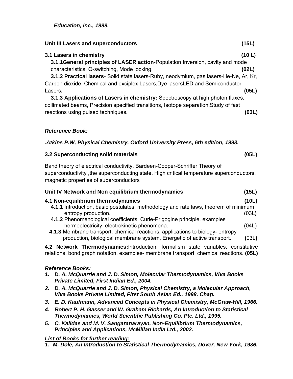*Education, Inc., 1999.* 

| Unit III Lasers and superconductors                                                   | (15L)  |
|---------------------------------------------------------------------------------------|--------|
| 3.1 Lasers in chemistry                                                               | (10 L) |
| 3.1.1 General principles of LASER action-Population Inversion, cavity and mode        |        |
| characteristics, Q-switching, Mode locking.                                           | (02L)  |
| 3.1.2 Practical lasers- Solid state lasers-Ruby, neodymium, gas lasers-He-Ne, Ar, Kr, |        |
| Carbon dioxide, Chemical and exciplex Lasers, Dye lasersLED and Semiconductor         |        |
| Lasers.                                                                               | (05L)  |
| 3.1.3 Applications of Lasers in chemistry: Spectroscopy at high photon fluxes,        |        |
| collimated beams, Precision specified transitions, Isotope separation, Study of fast  |        |
| reactions using pulsed techniques.                                                    | '03L)  |

# *Reference Book:*

## *.Atkins P.W, Physical Chemistry, Oxford University Press, 6th edition, 1998.*

## **3.2 Superconducting solid materials (05L)**

Band theory of electrical conductivity, Bardeen-Cooper-Schriffer Theory of superconductivity, the superconducting state, High critical temperature superconductors, magnetic properties of superconductors

| Unit IV Network and Non equilibrium thermodynamics                                  | (15L) |
|-------------------------------------------------------------------------------------|-------|
| 4.1 Non-equilibrium thermodynamics                                                  | (10L) |
| 4.1.1 Introduction, basic postulates, methodology and rate laws, theorem of minimum |       |
| entropy production.                                                                 | (03L) |
| 4.1.2 Phenomenological coefficients, Curie-Prigogine principle, examples            |       |
| hermoelectricity, electrokinetic phenomena.                                         | (04L) |
| 4.1.3 Membrane transport, chemical reactions, applications to biology-entropy       |       |
| production, biological membrane system, Energetic of active transport.              | (03L) |

**4.2 Network Thermodynamics:**Introduction, formalism state variables, constitutive relations, bond graph notation, examples- membrane transport, chemical reactions. **(05L)** 

# *Reference Books:*

- *1. D. A. McQuarrie and J. D. Simon, Molecular Thermodynamics, Viva Books Private Limited, First Indian Ed., 2004.*
- *2. D. A. McQuarrie and J. D. Simon, Physical Chemistry, a Molecular Approach, Viva Books Private Limited, First South Asian Ed., 1998. Chap.*
- *3. E. D. Kaufmann, Advanced Concepts in Physical Chemistry, McGraw-Hill, 1966.*
- *4. Robert P. H. Gasser and W. Graham Richards, An Introduction to Statistical Thermodynamics, World Scientific Publishing Co. Pte. Ltd., 1995.*
- *5. C. Kalidas and M. V. Sangaranarayan, Non-Equilibrium Thermodynamics, Principles and Applications, McMillan India Ltd., 2002.*

# *List of Books for further reading:*

*1. M. Dole, An Introduction to Statistical Thermodynamics, Dover, New York, 1986.*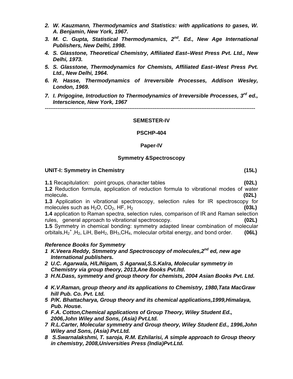- *2. W. Kauzmann, Thermodynamics and Statistics: with applications to gases, W. A. Benjamin, New York, 1967.*
- *3. M. C. Gupta, Statistical Thermodynamics, 2nd. Ed., New Age International Publishers, New Delhi, 1998.*
- *4. S. Glasstone, Theoretical Chemistry, Affiliated East–West Press Pvt. Ltd., New Delhi, 1973.*
- *5. S. Glasstone, Thermodynamics for Chemists, Affiliated East–West Press Pvt. Ltd., New Delhi, 1964.*
- *6. R. Hasse, Thermodynamics of Irreversible Processes, Addison Wesley, London, 1969.*
- *7. I. Prigogine, Introduction to Thermodynamics of Irreversible Processes, 3rd ed., Interscience, New York, 1967*

---------------------------------------------------------------------------------------------------------------------

#### **SEMESTER-IV**

#### **PSCHP-404**

#### **Paper-IV**

#### **Symmetry &Spectroscopy**

#### **UNIT-I: Symmetry in Chemistry (15L)**

**1.1** Recapitulation: point groups, character tables **(02L)**

**1.2** Reduction formula, application of reduction formula to vibrational modes of water molecule**. (02L)**

**1.3** Application in vibrational spectroscopy, selection rules for IR spectroscopy for molecules such as  $H_2O$ ,  $CO_2$ ,  $HF$ ,  $H_2$   $(03L)$ 

**1.4** application to Raman spectra, selection rules, comparison of IR and Raman selection rules, general approach to vibrational spectroscopy. **(02L)**

**1.5** Symmetry in chemical bonding: symmetry adapted linear combination of molecular orbitals,H2 + ,H2, LiH, BeH2, BH3,CH4, molecular orbital energy, and bond order. **(06L)** 

#### *Reference Books for Symmetry*

- *1 K.Veera Reddy, Stmmetry and Spectroscopy of molecules,2nd ed, new age International publishers.*
- *2 U.C. Agarwala, H/L/Nigam, S Agarwal,S.S.Kalra, Molecular symmetry in Chemistry via group theory, 2013,Ane Books Pvt.ltd.*
- *3 H.N.Dass, symmetry and group theory for chemists, 2004 Asian Books Pvt. Ltd.*
- *4 K.V.Raman, group theory and its applications to Chemistry, 1980,Tata MacGraw hill Pub. Co. Pvt. Ltd.*
- *5 P/K. Bhattacharya, Group theory and its chemical applications,1999,Himalaya, Pub. House.*
- *6 F.A. Cotton,Chemical applications of Group Theory, Wiley Student Ed., 2006,John Wiley and Sons, (Asia) Pvt.Ltd.*
- *7 R.L.Carter, Molecular symmetry and Group theory, Wiley Student Ed., 1996,John Wiley and Sons, (Asia) Pvt.Ltd.*
- *8 S.Swarnalakshmi, T. saroja, R.M. Ezhilarisi, A simple approach to Group theory in chemistry, 2008,Universities Press (India)Pvt.Ltd.*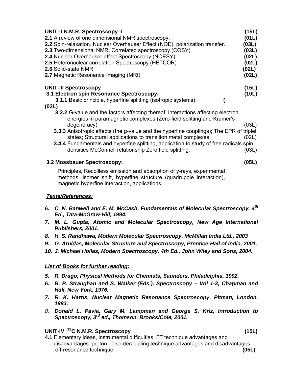| <b>UNIT-II N.M.R. Spectroscopy -I</b><br>2.1 A review of one dimensional NMR spectroscopy.<br>2.2 Spin-relaxation. Nuclear Overhauser Effect (NOE). polarization transfer.<br>2.3 Two-dimensional NMR. Correlated spectroscopy (COSY)<br>2.4 Nuclear Overhauser effect Spectroscopy (NOESY)<br>2.5 Heteronuclear correlation Spectroscopy (HETCOR)<br>2.6 Solid-state NMR<br>2.7 Magnetic Resonance Imaging (MRI)                                                                                                 | (15L)<br>(01L)<br>(03L)<br>(03L)<br>(02L)<br>(02L)<br>(02L)<br>(02L) |
|-------------------------------------------------------------------------------------------------------------------------------------------------------------------------------------------------------------------------------------------------------------------------------------------------------------------------------------------------------------------------------------------------------------------------------------------------------------------------------------------------------------------|----------------------------------------------------------------------|
| <b>UNIT-III Spectroscopy</b><br>3.1 Electron spin Resonance Spectroscopy-<br><b>3.1.1</b> Basic principle, hyperfine splitting (isotropic systems);                                                                                                                                                                                                                                                                                                                                                               | (15L)<br>(10L)                                                       |
| (02L)<br><b>3.2.2</b> G-value and the factors affecting thereof; interactions affecting electron<br>energies in paramagnetic complexes (Zero-field splitting and Kramer's<br>degeneracy);<br>3.3.3 Anisotropic effects (the g-value and the hyperfine couplings); The EPR of triplet<br>states; Structural applications to transition metal complexes.<br><b>3.4.4</b> Fundamentals and hyperfine splitting, application to study of free radicals spin<br>densities McConnell relationship Zero field splitting. | (03L)<br>(02L)<br>(03L)                                              |
| 3.2 Mossbauer Spectroscopy:                                                                                                                                                                                                                                                                                                                                                                                                                                                                                       | (05L)                                                                |
| Principles, Recoilless emission and absorption of y-rays, experimental<br>.                                                                                                                                                                                                                                                                                                                                                                                                                                       |                                                                      |

methods, isomer shift, hyperfine structure (quadrupole interaction), magnetic hyperfine interaction, applications.

#### *Texts/References:*

- *6. C. N. Banwell and E. M. McCash, Fundamentals of Molecular Spectroscopy, 4th Ed., Tata-McGraw-Hill, 1994.*
- *7. M. L. Gupta, Atomic and Molecular Spectroscopy, New Age International Publishers, 2001.*
- *8. H. S. Randhawa, Modern Molecular Spectroscopy, McMillan India Ltd., 2003*
- *9. G. Aruldas, Molecular Structure and Spectroscopy, Prentice-Hall of India, 2001.*
- 10. J. Michael Hollas, Modern Spectroscopy, 4th Ed., John Wiley and Sons, 2004.

#### *List of Books for further reading:*

- *5. R. Drago, Physical Methods for Chemists, Saunders, Philadelphia, 1992.*
- *6. B. P. Straughan and S. Walker (Eds.), Spectroscopy Vol 1-3, Chapman and Hall, New York, 1976.*
- *7. R. K. Harris, Nuclear Magnetic Resonance Spectroscopy, Pitman, London, 1983.*
- *8. Donald L. Pavia, Gary M. Lampman and George S. Kriz, Introduction to Spectroscopy, 3rd ed., Thomson, Brooks/Cole, 2001.*

#### **UNIT-IV 13C N.M.R. Spectroscopy (15L)**

**4.1** Elementary ideas, instrumental difficulties, FT technique advantages and disadvantages. proton noise decoupling technique advantages and disadvantages, off-resonance technique. **(05L)**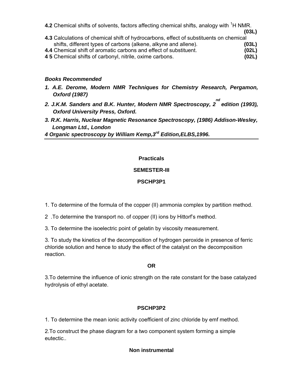| 4.2 Chemical shifts of solvents, factors affecting chemical shifts, analogy with <sup>1</sup> H NMR.           |  |       |
|----------------------------------------------------------------------------------------------------------------|--|-------|
| . A A Astro trata relativa del relatività del catalana del control del catalana del control del catalana del c |  | (03L) |

- **4.3** Calculations of chemical shift of hydrocarbons, effect of substituents on chemical shifts, different types of carbons (alkene, alkyne and allene). **(03L) 4.4** Chemical shift of aromatic carbons and effect of substituent. **(02L)**
- **4 5** Chemical shifts of carbonyl, nitrile, oxime carbons. **(02L)**

#### *Books Recommended*

- *1. A.E. Derome, Modern NMR Techniques for Chemistry Research, Pergamon, Oxford (1987)*
- *2. J.K.M. Sanders and B.K. Hunter, Modern NMR Spectroscopy, 2 nd edition (1993), Oxford University Press, Oxford.*
- *3. R.K. Harris, Nuclear Magnetic Resonance Spectroscopy, (1986) Addison-Wesley, Longman Ltd., London*
- *4 Organic spectroscopy by William Kemp,3rd Edition,ELBS,1996.*

## **Practicals**

## **SEMESTER-III**

## **PSCHP3P1**

- 1. To determine of the formula of the copper (II) ammonia complex by partition method.
- 2 .To determine the transport no. of copper (II) ions by Hittorf's method.
- 3. To determine the isoelectric point of gelatin by viscosity measurement.

3. To study the kinetics of the decomposition of hydrogen peroxide in presence of ferric chloride solution and hence to study the effect of the catalyst on the decomposition reaction.

#### **OR**

3.To determine the influence of ionic strength on the rate constant for the base catalyzed hydrolysis of ethyl acetate.

## **PSCHP3P2**

1. To determine the mean ionic activity coefficient of zinc chloride by emf method.

2.To construct the phase diagram for a two component system forming a simple eutectic..

## **Non instrumental**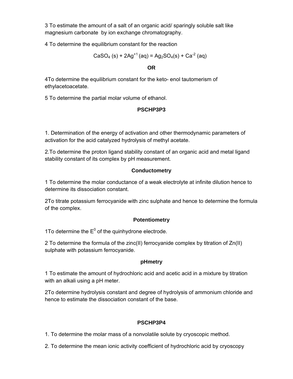3 To estimate the amount of a salt of an organic acid/ sparingly soluble salt like magnesium carbonate by ion exchange chromatography.

4 To determine the equilibrium constant for the reaction

$$
CaSO_4 (s) + 2Ag^{+1} (aq) = Ag_2SO_4(s) + Ca^{-2} (aq)
$$

#### **OR**

4To determine the equilibrium constant for the keto- enol tautomerism of ethylacetoacetate.

5 To determine the partial molar volume of ethanol.

# **PSCHP3P3**

1. Determination of the energy of activation and other thermodynamic parameters of activation for the acid catalyzed hydrolysis of methyl acetate.

2.To determine the proton ligand stability constant of an organic acid and metal ligand stability constant of its complex by pH measurement.

## **Conductometry**

1 To determine the molar conductance of a weak electrolyte at infinite dilution hence to determine its dissociation constant.

2To titrate potassium ferrocyanide with zinc sulphate and hence to determine the formula of the complex.

## **Potentiometry**

1To determine the  $E^0$  of the quinhydrone electrode.

2 To determine the formula of the zinc(II) ferrocyanide complex by titration of Zn(II) sulphate with potassium ferrocyanide.

## **pHmetry**

1 To estimate the amount of hydrochloric acid and acetic acid in a mixture by titration with an alkali using a pH meter.

2To determine hydrolysis constant and degree of hydrolysis of ammonium chloride and hence to estimate the dissociation constant of the base.

# **PSCHP3P4**

1. To determine the molar mass of a nonvolatile solute by cryoscopic method.

2. To determine the mean ionic activity coefficient of hydrochloric acid by cryoscopy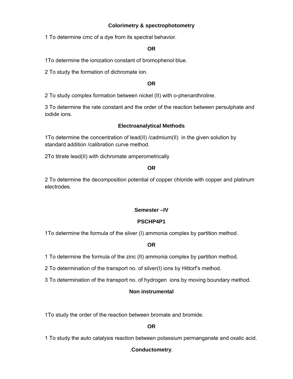## **Colorimetry & spectrophotometry**

1 To determine cmc of a dye from its spectral behavior.

#### **OR**

1To determine the ionization constant of bromophenol blue.

2 To study the formation of dichromate ion.

#### **OR**

2 To study complex formation between nickel (II) with o-phenanthroline.

3 To determine the rate constant and the order of the reaction between persulphate and iodide ions.

#### **Electroanalytical Methods**

1To determine the concentration of lead(II) /cadmium(II) in the given solution by standard addition /calibration curve method.

2To titrate lead(II) with dichromate amperometrically

#### **OR**

2 To determine the decomposition potential of copper chloride with copper and platinum electrodes.

## **Semester –IV**

## **PSCHP4P1**

1To determine the formula of the silver (I) ammonia complex by partition method.

#### **OR**

1 To determine the formula of the zinc (II) ammonia complex by partition method.

2 To determination of the transport no. of silver(I) ions by Hittorf's method.

3 To determination of the transport no. of hydrogen ions by moving boundary method.

## **Non instrumental**

1To study the order of the reaction between bromate and bromide.

## **OR**

1 To study the auto catalysis reaction between potassium permanganate and oxalic acid.

## .**Conductometry**.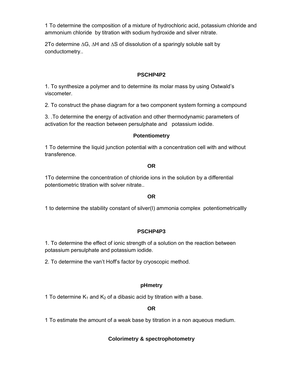1 To determine the composition of a mixture of hydrochloric acid, potassium chloride and ammonium chloride by titration with sodium hydroxide and silver nitrate.

2To determine ∆G, ∆H and ∆S of dissolution of a sparingly soluble salt by conductometry..

## **PSCHP4P2**

1. To synthesize a polymer and to determine its molar mass by using Ostwald's viscometer.

2. To construct the phase diagram for a two component system forming a compound

3. .To determine the energy of activation and other thermodynamic parameters of activation for the reaction between persulphate and potassium iodide.

## **Potentiometry**

1 To determine the liquid junction potential with a concentration cell with and without transference.

#### **OR**

1To determine the concentration of chloride ions in the solution by a differential potentiometric titration with solver nitrate..

## **OR**

1 to determine the stability constant of silver(I) ammonia complex potentiometricallly

## **PSCHP4P3**

1. To determine the effect of ionic strength of a solution on the reaction between potassium persulphate and potassium iodide.

2. To determine the van't Hoff's factor by cryoscopic method.

## **pHmetry**

1 To determine  $K_1$  and  $K_2$  of a dibasic acid by titration with a base.

## **OR**

1 To estimate the amount of a weak base by titration in a non aqueous medium.

## **Colorimetry & spectrophotometry**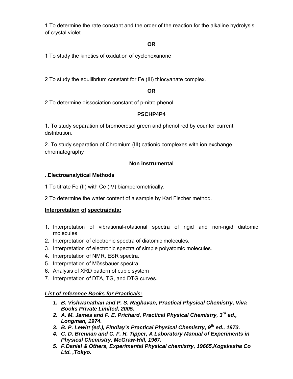1 To determine the rate constant and the order of the reaction for the alkaline hydrolysis of crystal violet

## **OR**

1 To study the kinetics of oxidation of cyclohexanone

2 To study the equilibrium constant for Fe (III) thiocyanate complex.

## **OR**

2 To determine dissociation constant of p-nitro phenol.

## **PSCHP4P4**

1. To study separation of bromocresol green and phenol red by counter current distribution.

2. To study separation of Chromium (III) cationic complexes with ion exchange chromatography

## **Non instrumental**

## ..**Electroanalytical Methods**

1 To titrate Fe (II) with Ce (IV) biamperometrically.

2 To determine the water content of a sample by Karl Fischer method.

## **Interpretation of spectra/data:**

- 1. Interpretation of vibrational-rotational spectra of rigid and non-rigid diatomic molecules
- 2. Interpretation of electronic spectra of diatomic molecules.
- 3. Interpretation of electronic spectra of simple polyatomic molecules.
- 4. Interpretation of NMR, ESR spectra.
- 5. Interpretation of Mössbauer spectra.
- 6. Analysis of XRD pattern of cubic system
- 7. Interpretation of DTA, TG, and DTG curves.

## *List of reference Books for Practicals:*

- *1. B. Vishwanathan and P. S. Raghavan, Practical Physical Chemistry, Viva Books Private Limited, 2005.*
- *2. A. M. James and F. E. Prichard, Practical Physical Chemistry, 3rd ed., Longman, 1974.*
- *3. B. P. Lewitt (ed.), Findlay's Practical Physical Chemistry, 9th ed., 1973.*
- *4. C. D. Brennan and C. F. H. Tipper, A Laboratory Manual of Experiments in Physical Chemistry, McGraw-Hill, 1967.*
- *5. F.Daniel & Others, Experimental Physical chemistry, 19665,Kogakasha Co Ltd. ,Tokyo.*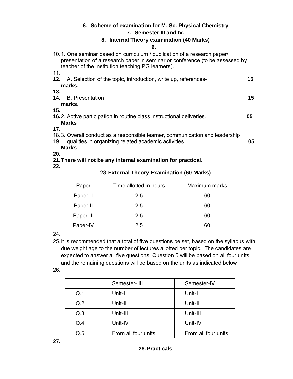## **6. Scheme of examination for M. Sc. Physical Chemistry 7. Semester III and IV.**

## **8. Internal Theory examination (40 Marks)**

#### **9.**

| 10.1. One seminar based on curriculum / publication of a research paper<br>presentation of a research paper in seminar or conference (to be assessed by<br>teacher of the institution teaching PG learners). |    |
|--------------------------------------------------------------------------------------------------------------------------------------------------------------------------------------------------------------|----|
| 11.                                                                                                                                                                                                          |    |
| <b>12.</b> A. Selection of the topic, introduction, write up, references-<br>marks.                                                                                                                          | 15 |
| 13.                                                                                                                                                                                                          |    |
| 14. B. Presentation<br>marks.                                                                                                                                                                                | 15 |
| 15.                                                                                                                                                                                                          |    |
| <b>16.2.</b> Active participation in routine class instructional deliveries.<br><b>Marks</b>                                                                                                                 | 05 |
| 17.                                                                                                                                                                                                          |    |
| 18.3. Overall conduct as a responsible learner, communication and leadership                                                                                                                                 |    |
| qualities in organizing related academic activities.<br>19.                                                                                                                                                  | 05 |
| <b>Marks</b>                                                                                                                                                                                                 |    |
| 20.                                                                                                                                                                                                          |    |

- **21. There will not be any internal examination for practical.**
- **22.**

# 23. **External Theory Examination (60 Marks)**

| Paper     | Time allotted in hours | Maximum marks |
|-----------|------------------------|---------------|
| Paper-1   | 2.5                    | 60            |
| Paper-II  | 2.5                    | 60            |
| Paper-III | 2.5                    | 60            |
| Paper-IV  | 2.5                    |               |

24.

- 25. It is recommended that a total of five questions be set, based on the syllabus with due weight age to the number of lectures allotted per topic. The candidates are expected to answer all five questions. Question 5 will be based on all four units and the remaining questions will be based on the units as indicated below
- 26.

|     | Semester-III        | Semester-IV         |
|-----|---------------------|---------------------|
| Q.1 | Unit-I              | Unit-I              |
| Q.2 | Unit-II             | Unit-II             |
| Q.3 | Unit-III            | Unit-III            |
| Q.4 | Unit-IV             | Unit-IV             |
| Q.5 | From all four units | From all four units |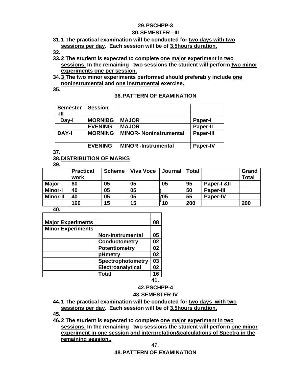#### **29. PSCHPP-3**

#### **30. SEMESTER –III**

## **31. 1 The practical examination will be conducted for two days with two sessions per day. Each session will be of 3.5hours duration.**

**32.** 

- **33. 2 The student is expected to complete one major experiment in two sessions. In the remaining two sessions the student will perform two minor experiments one per session.**
- **34. 3 The two minor experiments performed should preferably include one noninstrumental and one instrumental exercise.**

**35.** 

#### **36. PATTERN OF EXAMINATION**

| <b>Semester</b><br>-111 | <b>Session</b> |                               |                  |
|-------------------------|----------------|-------------------------------|------------------|
| Day-I                   | <b>MORNIBG</b> | <b>MAJOR</b>                  | <b>Paper-I</b>   |
|                         | <b>EVENING</b> | <b>MAJOR</b>                  | <b>Paper-II</b>  |
| <b>DAY-I</b>            | <b>MORNING</b> | <b>MINOR- Noninstrumental</b> | <b>Paper-III</b> |
|                         | <b>EVENING</b> | <b>MINOR</b> -Instrumental    | <b>Paper-IV</b>  |

**37.** 

## **38. DISTRIBUTION OF MARKS**

**39.** 

|                 | <b>Practical</b><br>work | <b>Scheme</b> | <b>Viva Voce</b> | Journal | Total |                  | Grand<br><b>Total</b> |
|-----------------|--------------------------|---------------|------------------|---------|-------|------------------|-----------------------|
| <b>Major</b>    | 80                       | 05            | 05               | 05      | 95    | Paper-I &II      |                       |
| <b>Minor-I</b>  | 40                       | 05            | 05               |         | 50    | <b>Paper-III</b> |                       |
| <b>Minor-II</b> | 40                       | 05            | 05               | ነ05     | 55    | <b>Paper-IV</b>  |                       |
|                 | 160                      | 15            | 15               | 10      | 200   |                  | 200                   |

**40.** 

| <b>Major Experiments</b> |                          | 08  |
|--------------------------|--------------------------|-----|
| <b>Minor Experiments</b> |                          |     |
|                          | <b>Non-instrumental</b>  | 05  |
|                          | <b>Conductometry</b>     | 02  |
|                          | <b>Potentiometry</b>     | 02  |
|                          | pHmetry                  | 02  |
|                          | <b>Spectrophotometry</b> | 03  |
|                          | Electroanalytical        | 02  |
|                          | <b>Total</b>             | 16  |
|                          |                          | . . |

**41.** 

# **42. PSCHPP-4**

#### **43. SEMESTER-IV**

- **44. 1 The practical examination will be conducted for two days with two sessions per day. Each session will be of 3.5hours duration.**
- **45.**
- **46. 2 The student is expected to complete one major experiment in two sessions. In the remaining two sessions the student will perform one minor experiment in one session and interpretation&calculations of Spectra in the remaining session..**

47.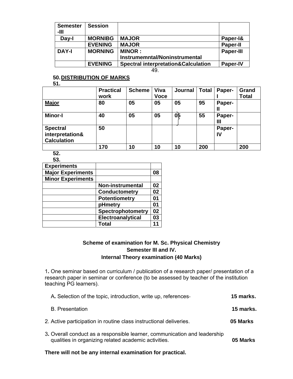| <b>Semester</b><br>-111        | <b>Session</b> |                                                |                  |
|--------------------------------|----------------|------------------------------------------------|------------------|
| Day-I                          | <b>MORNIBG</b> | <b>MAJOR</b>                                   | Paper-1&         |
|                                | <b>EVENING</b> | <b>MAJOR</b>                                   | <b>Paper-II</b>  |
| <b>DAY-I</b><br><b>MORNING</b> |                | <b>MINOR:</b>                                  | <b>Paper-III</b> |
|                                |                | Instrumemntal/Noninstrumental                  |                  |
|                                | <b>EVENING</b> | <b>Spectral interpretation&amp;Calculation</b> | <b>Paper-IV</b>  |

49.

#### **50. DISTRIBUTION OF MARKS**

**51.** 

|                    | <b>Practical</b> | <b>Scheme</b> | Viva        | Journal | <b>Total</b> | Paper- | Grand        |
|--------------------|------------------|---------------|-------------|---------|--------------|--------|--------------|
|                    | work             |               | <b>Voce</b> |         |              |        | <b>Total</b> |
| <b>Major</b>       | 80               | 05            | 05          | 05      | 95           | Paper- |              |
|                    |                  |               |             |         |              | Ш      |              |
| <b>Minor-I</b>     | 40               | 05            | 05          | 05      | 55           | Paper- |              |
|                    |                  |               |             |         |              | Ш      |              |
| <b>Spectral</b>    | 50               |               |             |         |              | Paper- |              |
| interpretation&    |                  |               |             |         |              | IV     |              |
| <b>Calculation</b> |                  |               |             |         |              |        |              |
|                    | 170              | 10            | 10          | 10      | 200          |        | 200          |
| --                 |                  |               |             |         |              |        |              |

**52. 53.** 

| vv.                      |                         |    |
|--------------------------|-------------------------|----|
| <b>Experiments</b>       |                         |    |
| <b>Major Experiments</b> |                         | 08 |
| <b>Minor Experiments</b> |                         |    |
|                          | <b>Non-instrumental</b> | 02 |
|                          | <b>Conductometry</b>    | 02 |
|                          | <b>Potentiometry</b>    | 01 |
|                          | pHmetry                 | 01 |
|                          | Spectrophotometry       | 02 |
|                          | Electroanalytical       | 03 |
|                          | Total                   | 11 |
|                          |                         |    |

## **Scheme of examination for M. Sc. Physical Chemistry Semester III and IV. Internal Theory examination (40 Marks)**

1**.** One seminar based on curriculum / publication of a research paper/ presentation of a research paper in seminar or conference (to be assessed by teacher of the institution teaching PG learners).

| A. Selection of the topic, introduction, write up, references-                                                                    | 15 marks. |
|-----------------------------------------------------------------------------------------------------------------------------------|-----------|
| <b>B.</b> Presentation                                                                                                            | 15 marks. |
| 2. Active participation in routine class instructional deliveries.                                                                | 05 Marks  |
| 3. Overall conduct as a responsible learner, communication and leadership<br>qualities in organizing related academic activities. | 05 Marks  |

**There will not be any internal examination for practical.**